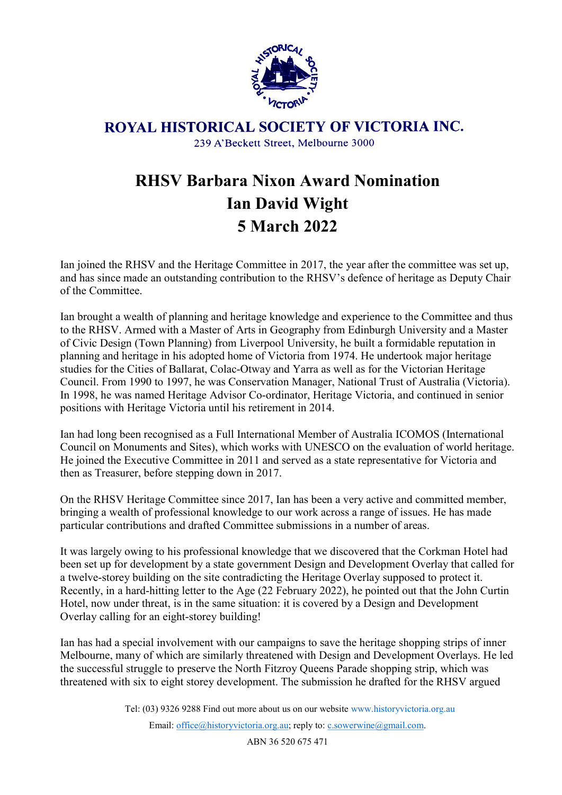

ROYAL HISTORICAL SOCIETY OF VICTORIA INC. 239 A'Beckett Street, Melbourne 3000

## RHSV Barbara Nixon Award Nomination Ian David Wight 5 March 2022

Ian joined the RHSV and the Heritage Committee in 2017, the year after the committee was set up, and has since made an outstanding contribution to the RHSV's defence of heritage as Deputy Chair of the Committee.

Ian brought a wealth of planning and heritage knowledge and experience to the Committee and thus to the RHSV. Armed with a Master of Arts in Geography from Edinburgh University and a Master of Civic Design (Town Planning) from Liverpool University, he built a formidable reputation in planning and heritage in his adopted home of Victoria from 1974. He undertook major heritage studies for the Cities of Ballarat, Colac-Otway and Yarra as well as for the Victorian Heritage Council. From 1990 to 1997, he was Conservation Manager, National Trust of Australia (Victoria). In 1998, he was named Heritage Advisor Co-ordinator, Heritage Victoria, and continued in senior positions with Heritage Victoria until his retirement in 2014.

Ian had long been recognised as a Full International Member of Australia ICOMOS (International Council on Monuments and Sites), which works with UNESCO on the evaluation of world heritage. He joined the Executive Committee in 2011 and served as a state representative for Victoria and then as Treasurer, before stepping down in 2017.

On the RHSV Heritage Committee since 2017, Ian has been a very active and committed member, bringing a wealth of professional knowledge to our work across a range of issues. He has made particular contributions and drafted Committee submissions in a number of areas.

It was largely owing to his professional knowledge that we discovered that the Corkman Hotel had been set up for development by a state government Design and Development Overlay that called for a twelve-storey building on the site contradicting the Heritage Overlay supposed to protect it. Recently, in a hard-hitting letter to the Age (22 February 2022), he pointed out that the John Curtin Hotel, now under threat, is in the same situation: it is covered by a Design and Development Overlay calling for an eight-storey building!

Ian has had a special involvement with our campaigns to save the heritage shopping strips of inner Melbourne, many of which are similarly threatened with Design and Development Overlays. He led the successful struggle to preserve the North Fitzroy Queens Parade shopping strip, which was threatened with six to eight storey development. The submission he drafted for the RHSV argued

Tel: (03) 9326 9288 Find out more about us on our website www.historyvictoria.org.au

Email: office@historyvictoria.org.au; reply to: c.sowerwine@gmail.com.

ABN 36 520 675 471